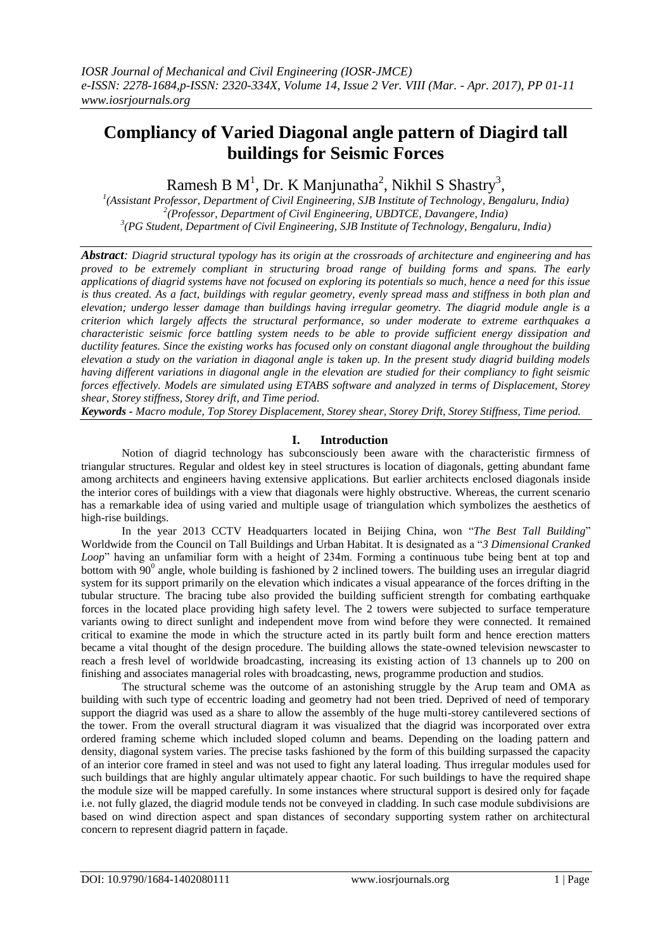# **Compliancy of Varied Diagonal angle pattern of Diagird tall buildings for Seismic Forces**

Ramesh B  $M<sup>1</sup>$ , Dr. K Manjunatha<sup>2</sup>, Nikhil S Shastry<sup>3</sup>,

*1 (Assistant Professor, Department of Civil Engineering, SJB Institute of Technology, Bengaluru, India) 2 (Professor, Department of Civil Engineering, UBDTCE, Davangere, India) 3 (PG Student, Department of Civil Engineering, SJB Institute of Technology, Bengaluru, India)*

*Abstract: Diagrid structural typology has its origin at the crossroads of architecture and engineering and has proved to be extremely compliant in structuring broad range of building forms and spans. The early applications of diagrid systems have not focused on exploring its potentials so much, hence a need for this issue is thus created. As a fact, buildings with regular geometry, evenly spread mass and stiffness in both plan and elevation; undergo lesser damage than buildings having irregular geometry. The diagrid module angle is a criterion which largely affects the structural performance, so under moderate to extreme earthquakes a characteristic seismic force battling system needs to be able to provide sufficient energy dissipation and ductility features. Since the existing works has focused only on constant diagonal angle throughout the building elevation a study on the variation in diagonal angle is taken up. In the present study diagrid building models having different variations in diagonal angle in the elevation are studied for their compliancy to fight seismic forces effectively. Models are simulated using ETABS software and analyzed in terms of Displacement, Storey shear, Storey stiffness, Storey drift, and Time period.*

*Keywords - Macro module, Top Storey Displacement, Storey shear, Storey Drift, Storey Stiffness, Time period.*

# **I. Introduction**

Notion of diagrid technology has subconsciously been aware with the characteristic firmness of triangular structures. Regular and oldest key in steel structures is location of diagonals, getting abundant fame among architects and engineers having extensive applications. But earlier architects enclosed diagonals inside the interior cores of buildings with a view that diagonals were highly obstructive. Whereas, the current scenario has a remarkable idea of using varied and multiple usage of triangulation which symbolizes the aesthetics of high-rise buildings.

In the year 2013 CCTV Headquarters located in Beijing China, won "*The Best Tall Building*" Worldwide from the [Council on Tall Buildings and Urban Habitat.](https://en.wikipedia.org/wiki/Council_on_Tall_Buildings_and_Urban_Habitat) It is designated as a "*3 Dimensional Cranked Loop*" having an unfamiliar form with a height of 234m. Forming a continuous tube being bent at top and bottom with  $90^0$  angle, whole building is fashioned by 2 inclined towers. The building uses an irregular diagrid system for its support primarily on the elevation which indicates a visual appearance of the forces drifting in the tubular structure. The bracing tube also provided the building sufficient strength for combating earthquake forces in the located place providing high safety level. The 2 towers were subjected to surface temperature variants owing to direct sunlight and independent move from wind before they were connected. It remained critical to examine the mode in which the structure acted in its partly built form and hence erection matters became a vital thought of the design procedure. The building allows the state-owned television newscaster to reach a fresh level of worldwide broadcasting, increasing its existing action of 13 channels up to 200 on finishing and associates managerial roles with broadcasting, news, programme production and studios.

The structural scheme was the outcome of an astonishing struggle by the Arup team and OMA as building with such type of eccentric loading and geometry had not been tried. Deprived of need of temporary support the diagrid was used as a share to allow the assembly of the huge multi-storey cantilevered sections of the tower. From the overall structural diagram it was visualized that the diagrid was incorporated over extra ordered framing scheme which included sloped column and beams. Depending on the loading pattern and density, diagonal system varies. The precise tasks fashioned by the form of this building surpassed the capacity of an interior core framed in steel and was not used to fight any lateral loading. Thus irregular modules used for such buildings that are highly angular ultimately appear chaotic. For such buildings to have the required shape the module size will be mapped carefully. In some instances where structural support is desired only for façade i.e. not fully glazed, the diagrid module tends not be conveyed in cladding. In such case module subdivisions are based on wind direction aspect and span distances of secondary supporting system rather on architectural concern to represent diagrid pattern in façade.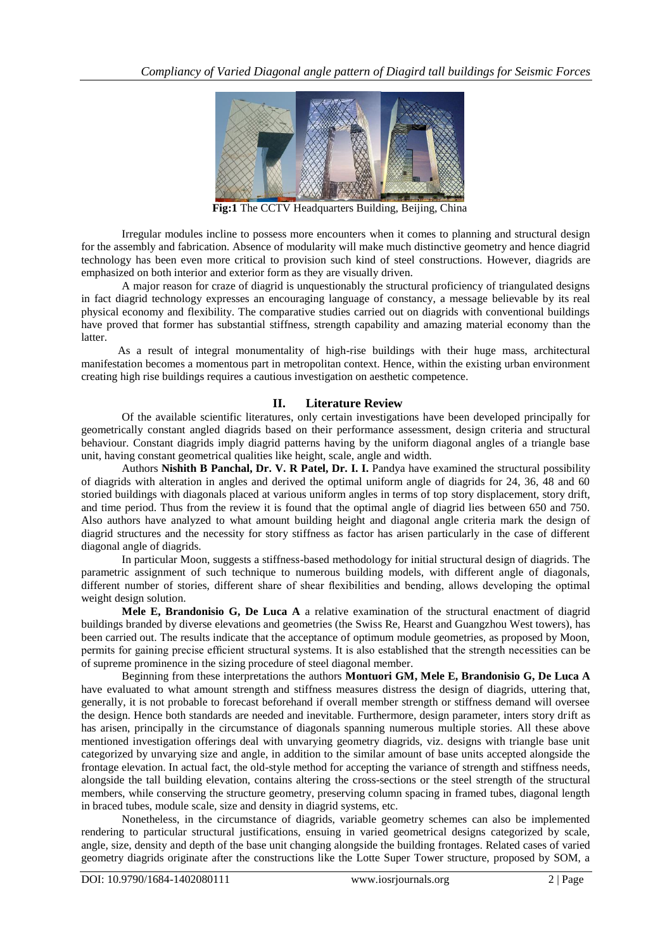

**Fig:1** The CCTV Headquarters Building, Beijing, China

Irregular modules incline to possess more encounters when it comes to planning and structural design for the assembly and fabrication. Absence of modularity will make much distinctive geometry and hence diagrid technology has been even more critical to provision such kind of steel constructions. However, diagrids are emphasized on both interior and exterior form as they are visually driven.

A major reason for craze of diagrid is unquestionably the structural proficiency of triangulated designs in fact diagrid technology expresses an encouraging language of constancy, a message believable by its real physical economy and flexibility. The comparative studies carried out on diagrids with conventional buildings have proved that former has substantial stiffness, strength capability and amazing material economy than the latter.

As a result of integral monumentality of high-rise buildings with their huge mass, architectural manifestation becomes a momentous part in metropolitan context. Hence, within the existing urban environment creating high rise buildings requires a cautious investigation on aesthetic competence.

# **II. Literature Review**

Of the available scientific literatures, only certain investigations have been developed principally for geometrically constant angled diagrids based on their performance assessment, design criteria and structural behaviour. Constant diagrids imply diagrid patterns having by the uniform diagonal angles of a triangle base unit, having constant geometrical qualities like height, scale, angle and width.

Authors **Nishith B Panchal, Dr. V. R Patel, Dr. I. I.** Pandya have examined the structural possibility of diagrids with alteration in angles and derived the optimal uniform angle of diagrids for 24, 36, 48 and 60 storied buildings with diagonals placed at various uniform angles in terms of top story displacement, story drift, and time period. Thus from the review it is found that the optimal angle of diagrid lies between 650 and 750. Also authors have analyzed to what amount building height and diagonal angle criteria mark the design of diagrid structures and the necessity for story stiffness as factor has arisen particularly in the case of different diagonal angle of diagrids.

In particular Moon, suggests a stiffness-based methodology for initial structural design of diagrids. The parametric assignment of such technique to numerous building models, with different angle of diagonals, different number of stories, different share of shear flexibilities and bending, allows developing the optimal weight design solution.

**Mele E, Brandonisio G, De Luca A** a relative examination of the structural enactment of diagrid buildings branded by diverse elevations and geometries (the Swiss Re, Hearst and Guangzhou West towers), has been carried out. The results indicate that the acceptance of optimum module geometries, as proposed by Moon, permits for gaining precise efficient structural systems. It is also established that the strength necessities can be of supreme prominence in the sizing procedure of steel diagonal member.

Beginning from these interpretations the authors **Montuori GM, Mele E, Brandonisio G, De Luca A** have evaluated to what amount strength and stiffness measures distress the design of diagrids, uttering that, generally, it is not probable to forecast beforehand if overall member strength or stiffness demand will oversee the design. Hence both standards are needed and inevitable. Furthermore, design parameter, inters story drift as has arisen, principally in the circumstance of diagonals spanning numerous multiple stories. All these above mentioned investigation offerings deal with unvarying geometry diagrids, viz. designs with triangle base unit categorized by unvarying size and angle, in addition to the similar amount of base units accepted alongside the frontage elevation. In actual fact, the old-style method for accepting the variance of strength and stiffness needs, alongside the tall building elevation, contains altering the cross-sections or the steel strength of the structural members, while conserving the structure geometry, preserving column spacing in framed tubes, diagonal length in braced tubes, module scale, size and density in diagrid systems, etc.

Nonetheless, in the circumstance of diagrids, variable geometry schemes can also be implemented rendering to particular structural justifications, ensuing in varied geometrical designs categorized by scale, angle, size, density and depth of the base unit changing alongside the building frontages. Related cases of varied geometry diagrids originate after the constructions like the Lotte Super Tower structure, proposed by SOM, a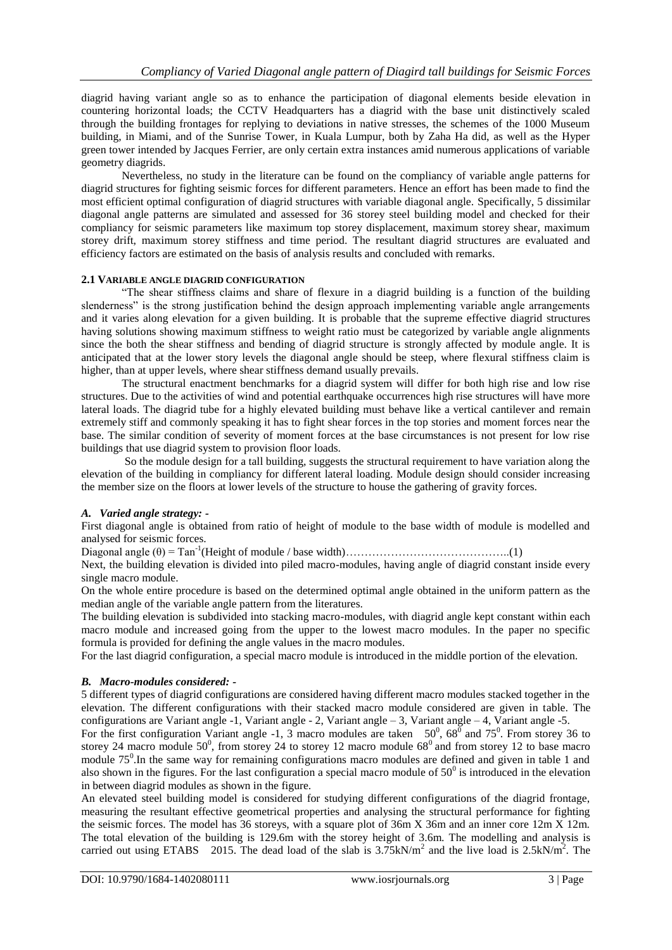diagrid having variant angle so as to enhance the participation of diagonal elements beside elevation in countering horizontal loads; the CCTV Headquarters has a diagrid with the base unit distinctively scaled through the building frontages for replying to deviations in native stresses, the schemes of the 1000 Museum building, in Miami, and of the Sunrise Tower, in Kuala Lumpur, both by Zaha Ha did, as well as the Hyper green tower intended by Jacques Ferrier, are only certain extra instances amid numerous applications of variable geometry diagrids.

Nevertheless, no study in the literature can be found on the compliancy of variable angle patterns for diagrid structures for fighting seismic forces for different parameters. Hence an effort has been made to find the most efficient optimal configuration of diagrid structures with variable diagonal angle. Specifically, 5 dissimilar diagonal angle patterns are simulated and assessed for 36 storey steel building model and checked for their compliancy for seismic parameters like maximum top storey displacement, maximum storey shear, maximum storey drift, maximum storey stiffness and time period. The resultant diagrid structures are evaluated and efficiency factors are estimated on the basis of analysis results and concluded with remarks.

#### **2.1 VARIABLE ANGLE DIAGRID CONFIGURATION**

"The shear stiffness claims and share of flexure in a diagrid building is a function of the building slenderness" is the strong justification behind the design approach implementing variable angle arrangements and it varies along elevation for a given building. It is probable that the supreme effective diagrid structures having solutions showing maximum stiffness to weight ratio must be categorized by variable angle alignments since the both the shear stiffness and bending of diagrid structure is strongly affected by module angle. It is anticipated that at the lower story levels the diagonal angle should be steep, where flexural stiffness claim is higher, than at upper levels, where shear stiffness demand usually prevails.

The structural enactment benchmarks for a diagrid system will differ for both high rise and low rise structures. Due to the activities of wind and potential earthquake occurrences high rise structures will have more lateral loads. The diagrid tube for a highly elevated building must behave like a vertical cantilever and remain extremely stiff and commonly speaking it has to fight shear forces in the top stories and moment forces near the base. The similar condition of severity of moment forces at the base circumstances is not present for low rise buildings that use diagrid system to provision floor loads.

So the module design for a tall building, suggests the structural requirement to have variation along the elevation of the building in compliancy for different lateral loading. Module design should consider increasing the member size on the floors at lower levels of the structure to house the gathering of gravity forces.

#### *A. Varied angle strategy: -*

First diagonal angle is obtained from ratio of height of module to the base width of module is modelled and analysed for seismic forces.

Diagonal angle (θ) = Tan-1 (Height of module / base width)……………………………………..(1)

Next, the building elevation is divided into piled macro-modules, having angle of diagrid constant inside every single macro module.

On the whole entire procedure is based on the determined optimal angle obtained in the uniform pattern as the median angle of the variable angle pattern from the literatures.

The building elevation is subdivided into stacking macro-modules, with diagrid angle kept constant within each macro module and increased going from the upper to the lowest macro modules. In the paper no specific formula is provided for defining the angle values in the macro modules.

For the last diagrid configuration, a special macro module is introduced in the middle portion of the elevation.

# *B. Macro-modules considered: -*

5 different types of diagrid configurations are considered having different macro modules stacked together in the elevation. The different configurations with their stacked macro module considered are given in table. The configurations are Variant angle -1, Variant angle - 2, Variant angle – 3, Variant angle – 4, Variant angle -5.

For the first configuration Variant angle -1, 3 macro modules are taken  $50^0$ ,  $68^0$  and  $75^0$ . From storey 36 to storey 24 macro module  $50^0$ , from storey 24 to storey 12 macro module  $68^0$  and from storey 12 to base macro module  $75^{\circ}$ . In the same way for remaining configurations macro modules are defined and given in table 1 and also shown in the figures. For the last configuration a special macro module of  $50^0$  is introduced in the elevation in between diagrid modules as shown in the figure.

An elevated steel building model is considered for studying different configurations of the diagrid frontage, measuring the resultant effective geometrical properties and analysing the structural performance for fighting the seismic forces. The model has 36 storeys, with a square plot of 36m X 36m and an inner core 12m X 12m. The total elevation of the building is 129.6m with the storey height of 3.6m. The modelling and analysis is carried out using ETABS 2015. The dead load of the slab is  $3.75 \text{kN/m}^2$  and the live load is  $2.5 \text{kN/m}^2$ . The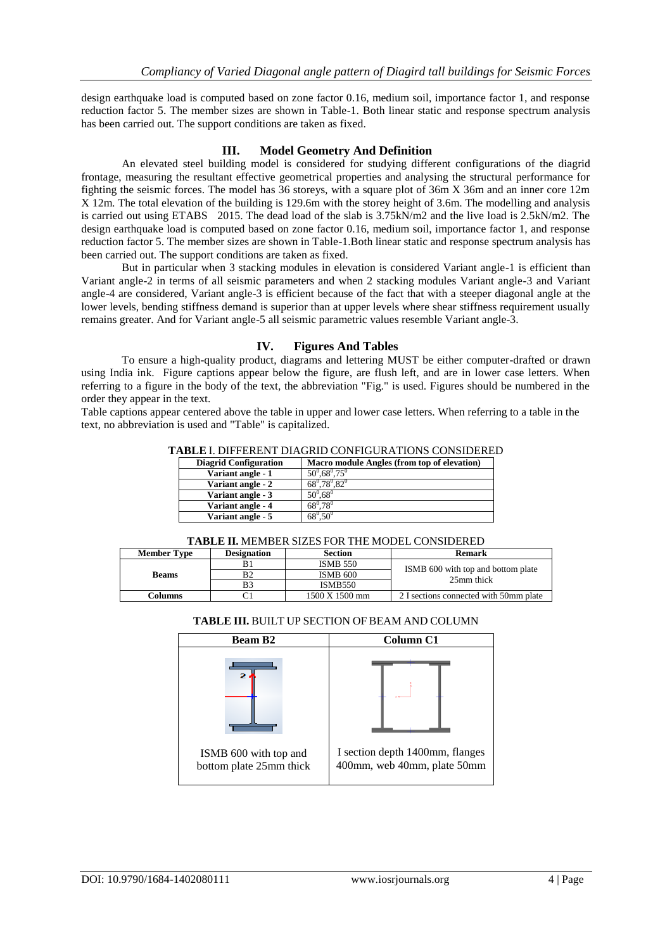design earthquake load is computed based on zone factor 0.16, medium soil, importance factor 1, and response reduction factor 5. The member sizes are shown in Table-1. Both linear static and response spectrum analysis has been carried out. The support conditions are taken as fixed.

# **III. Model Geometry And Definition**

An elevated steel building model is considered for studying different configurations of the diagrid frontage, measuring the resultant effective geometrical properties and analysing the structural performance for fighting the seismic forces. The model has 36 storeys, with a square plot of 36m X 36m and an inner core 12m X 12m. The total elevation of the building is 129.6m with the storey height of 3.6m. The modelling and analysis is carried out using ETABS 2015. The dead load of the slab is 3.75kN/m2 and the live load is 2.5kN/m2. The design earthquake load is computed based on zone factor 0.16, medium soil, importance factor 1, and response reduction factor 5. The member sizes are shown in Table-1.Both linear static and response spectrum analysis has been carried out. The support conditions are taken as fixed.

But in particular when 3 stacking modules in elevation is considered Variant angle-1 is efficient than Variant angle-2 in terms of all seismic parameters and when 2 stacking modules Variant angle-3 and Variant angle-4 are considered, Variant angle-3 is efficient because of the fact that with a steeper diagonal angle at the lower levels, bending stiffness demand is superior than at upper levels where shear stiffness requirement usually remains greater. And for Variant angle-5 all seismic parametric values resemble Variant angle-3.

# **IV. Figures And Tables**

To ensure a high-quality product, diagrams and lettering MUST be either computer-drafted or drawn using India ink. Figure captions appear below the figure, are flush left, and are in lower case letters. When referring to a figure in the body of the text, the abbreviation "Fig." is used. Figures should be numbered in the order they appear in the text.

Table captions appear centered above the table in upper and lower case letters. When referring to a table in the text, no abbreviation is used and "Table" is capitalized.

| <b>Diagrid Configuration</b> | Macro module Angles (from top of elevation) |
|------------------------------|---------------------------------------------|
| Variant angle - 1            | $50^{\circ}$ .68 $^{\circ}$ .75 $^{\circ}$  |
| Variant angle - 2            | $68^0.78^0.82^0$                            |
| Variant angle - 3            | $50^0.68^0$                                 |
| Variant angle - 4            | $68^{\circ}$ .78 $^{\circ}$                 |
| Variant angle - 5            | $68^{\circ} .50^{\circ}$                    |

|  | <b>TABLE II. MEMBER SIZES FOR THE MODEL CONSIDERED</b> |  |
|--|--------------------------------------------------------|--|
|--|--------------------------------------------------------|--|

| 1.1000 11: 11101110011011010 1 011 1110 1110000 001 101001100 |                    |                 |                                                  |  |
|---------------------------------------------------------------|--------------------|-----------------|--------------------------------------------------|--|
| <b>Member Type</b>                                            | <b>Designation</b> | <b>Section</b>  | <b>Remark</b>                                    |  |
|                                                               |                    | <b>ISMB 550</b> |                                                  |  |
| B2<br><b>Beams</b><br>B3                                      |                    | ISMB 600        | ISMB 600 with top and bottom plate<br>25mm thick |  |
|                                                               |                    | <b>ISMB550</b>  |                                                  |  |
| Columns                                                       |                    | 1500 X 1500 mm  | 2 I sections connected with 50mm plate           |  |

#### **TABLE III.** BUILT UP SECTION OF BEAM AND COLUMN

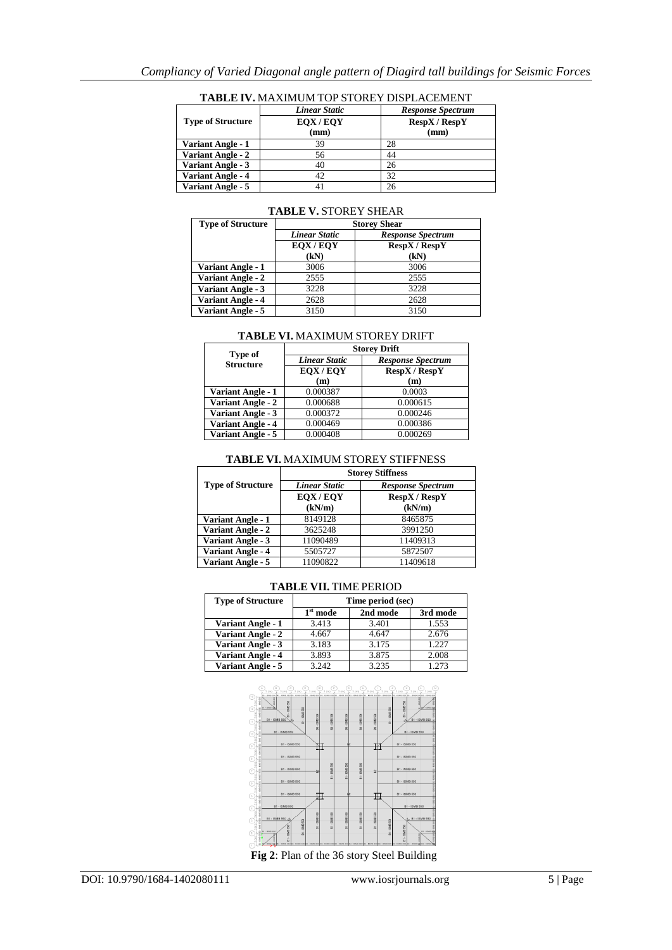|                          | <b>Linear Static</b> | <b>Response Spectrum</b>    |
|--------------------------|----------------------|-----------------------------|
| <b>Type of Structure</b> | EQX/EQY              | $\text{RespX}/\text{RespY}$ |
|                          | (mm)                 | (mm)                        |
| <b>Variant Angle - 1</b> | 39                   | 28                          |
| <b>Variant Angle - 2</b> | 56                   | 44                          |
| <b>Variant Angle - 3</b> | 40                   | 26                          |
| <b>Variant Angle - 4</b> | 42                   | 32                          |
| Variant Angle - 5        |                      | 26                          |

# **TABLE IV.** MAXIMUM TOP STOREY DISPLACEMENT

| LADLE GOTONLI SHEAR      |                                                  |                      |  |
|--------------------------|--------------------------------------------------|----------------------|--|
| <b>Type of Structure</b> | <b>Storey Shear</b>                              |                      |  |
|                          | <b>Linear Static</b><br><b>Response Spectrum</b> |                      |  |
|                          | EOX/EOY                                          | <b>RespX</b> / RespY |  |
|                          | (kN)                                             | (kN)                 |  |
| <b>Variant Angle - 1</b> | 3006                                             | 3006                 |  |
| Variant Angle - 2        | 2555                                             | 2555                 |  |
| <b>Variant Angle - 3</b> | 3228                                             | 3228                 |  |
| <b>Variant Angle - 4</b> | 2628                                             | 2628                 |  |
| Variant Angle - 5        | 3150                                             | 3150                 |  |

#### **TABLE V.** STOREY SHEAR

| Type of                  | <b>Storey Drift</b>  |                          |  |
|--------------------------|----------------------|--------------------------|--|
| <b>Structure</b>         | <b>Linear Static</b> | <b>Response Spectrum</b> |  |
|                          | EQX/EQY              | <b>RespX</b> / RespY     |  |
|                          | (m)                  | (m)                      |  |
| <b>Variant Angle - 1</b> | 0.000387             | 0.0003                   |  |
| <b>Variant Angle - 2</b> | 0.000688             | 0.000615                 |  |
| <b>Variant Angle - 3</b> | 0.000372             | 0.000246                 |  |
| <b>Variant Angle - 4</b> | 0.000469             | 0.000386                 |  |
| Variant Angle - 5        | 0.000408             | 0.000269                 |  |

#### **TABLE VI.** MAXIMUM STOREY STIFFNESS

|                          | <b>Storey Stiffness</b>                          |                             |  |  |
|--------------------------|--------------------------------------------------|-----------------------------|--|--|
| <b>Type of Structure</b> | <b>Linear Static</b><br><b>Response Spectrum</b> |                             |  |  |
|                          | EQX/EQY                                          | $\text{RespX}/\text{RespY}$ |  |  |
|                          | (kN/m)                                           | (kN/m)                      |  |  |
| <b>Variant Angle - 1</b> | 8149128                                          | 8465875                     |  |  |
| <b>Variant Angle - 2</b> | 3625248                                          | 3991250                     |  |  |
| <b>Variant Angle - 3</b> | 11090489                                         | 11409313                    |  |  |
| <b>Variant Angle - 4</b> | 5505727                                          | 5872507                     |  |  |
| <b>Variant Angle - 5</b> | 11090822                                         | 11409618                    |  |  |

| <b>Type of Structure</b> | Time period (sec) |          |          |
|--------------------------|-------------------|----------|----------|
|                          | $1st$ mode        | 2nd mode | 3rd mode |
| <b>Variant Angle - 1</b> | 3.413             | 3.401    | 1.553    |
| <b>Variant Angle - 2</b> | 4.667             | 4.647    | 2.676    |
| <b>Variant Angle - 3</b> | 3.183             | 3.175    | 1.227    |
| <b>Variant Angle - 4</b> | 3.893             | 3.875    | 2.008    |
| <b>Variant Angle - 5</b> | 3.242             | 3.235    | 1.273    |

#### **TABLE VII.** TIME PERIOD



**Fig 2**: Plan of the 36 story Steel Building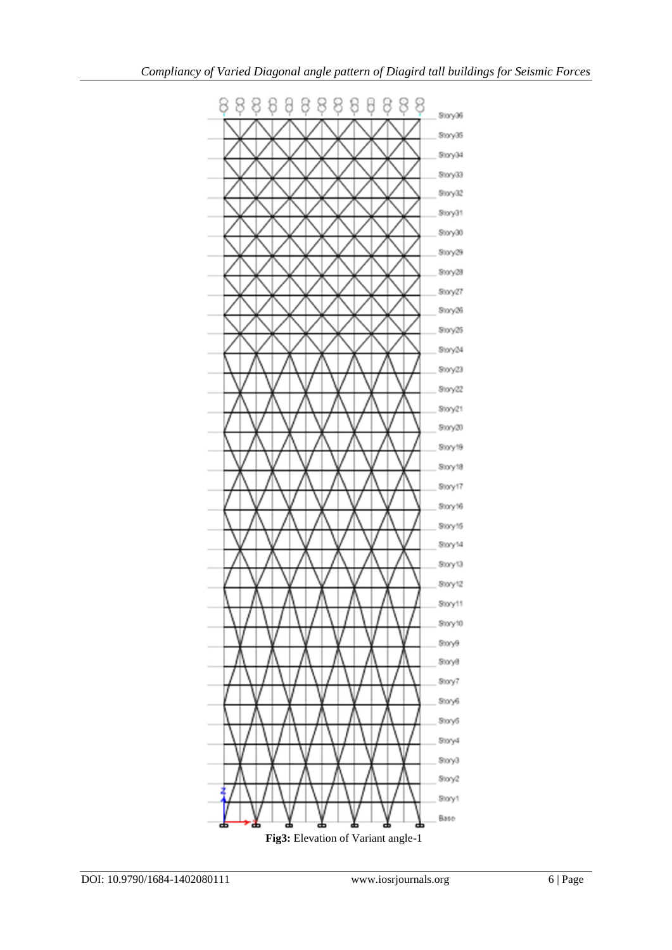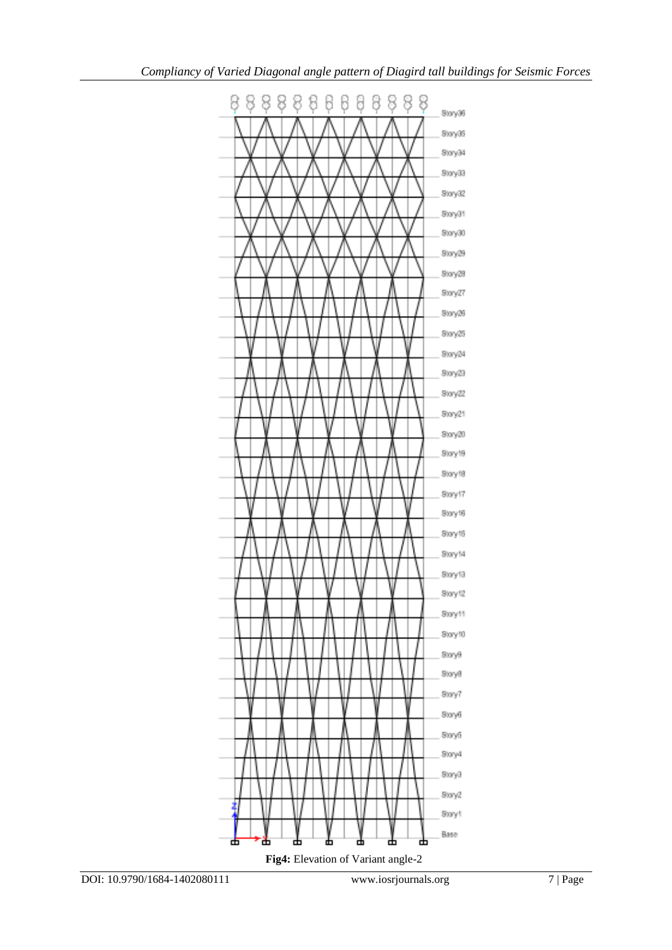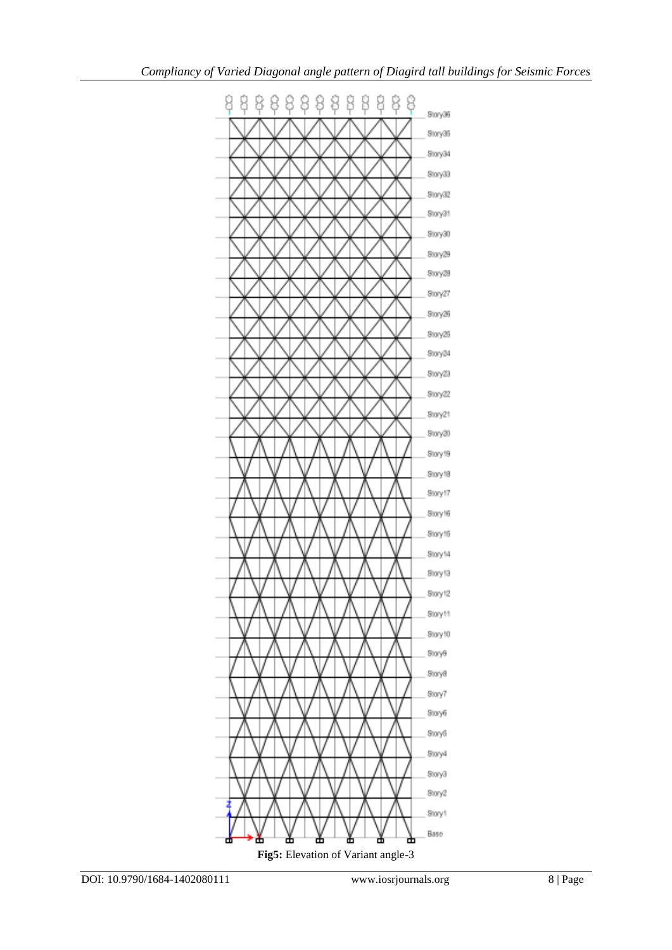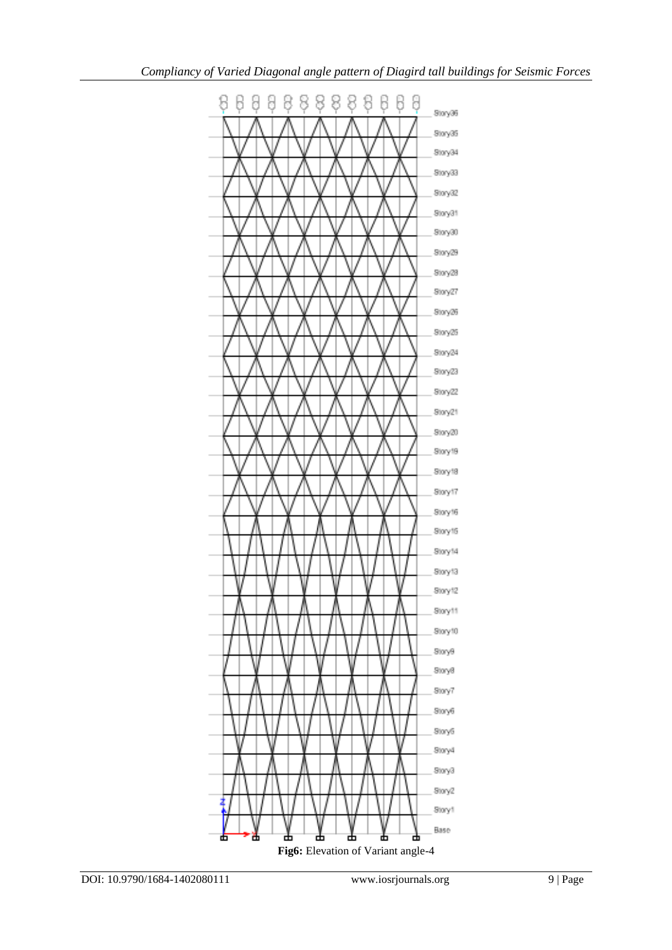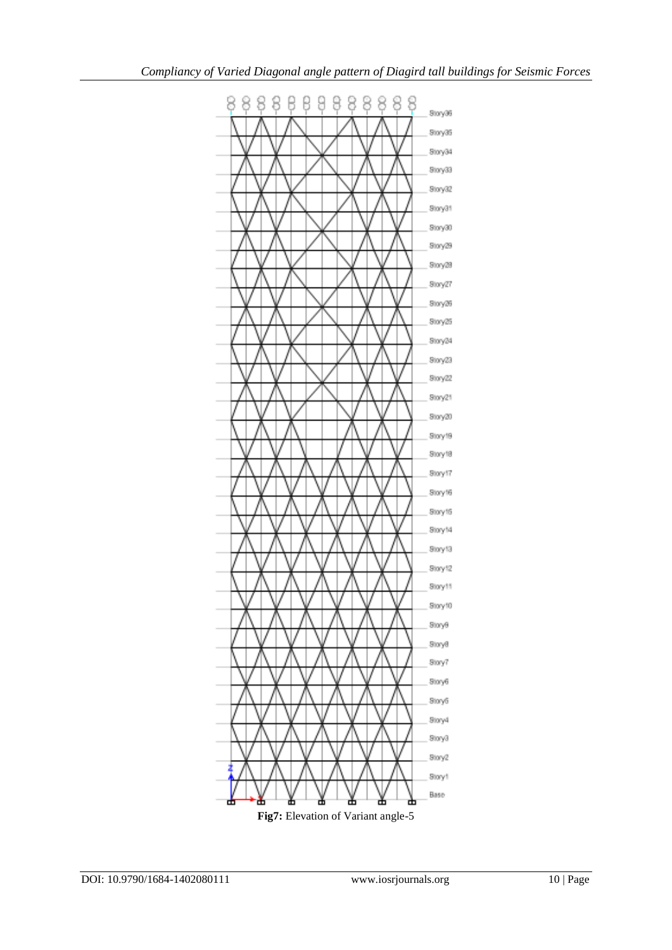

Fig7: Elevation of Variant angle-5